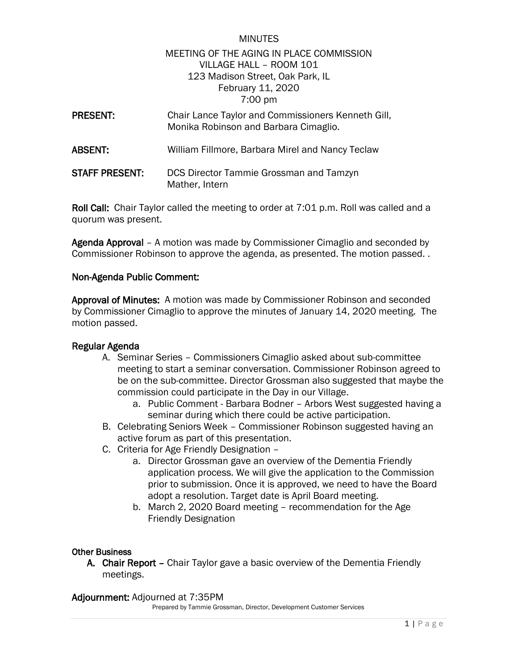# **MINUTES** MEETING OF THE AGING IN PLACE COMMISSION VILLAGE HALL – ROOM 101 123 Madison Street, Oak Park, IL February 11, 2020 7:00 pm

| <b>PRESENT:</b> | Chair Lance Taylor and Commissioners Kenneth Gill,<br>Monika Robinson and Barbara Cimaglio. |
|-----------------|---------------------------------------------------------------------------------------------|
| <b>ABSENT:</b>  | William Fillmore, Barbara Mirel and Nancy Teclaw                                            |
| STAFF PRESENT:  | DCS Director Tammie Grossman and Tamzyn<br>Mather, Intern                                   |

Roll Call: Chair Taylor called the meeting to order at 7:01 p.m. Roll was called and a quorum was present.

Agenda Approval – A motion was made by Commissioner Cimaglio and seconded by Commissioner Robinson to approve the agenda, as presented. The motion passed. .

## Non-Agenda Public Comment:

Approval of Minutes: A motion was made by Commissioner Robinson and seconded by Commissioner Cimaglio to approve the minutes of January 14, 2020 meeting. The motion passed.

### Regular Agenda

- A. Seminar Series Commissioners Cimaglio asked about sub-committee meeting to start a seminar conversation. Commissioner Robinson agreed to be on the sub-committee. Director Grossman also suggested that maybe the commission could participate in the Day in our Village.
	- a. Public Comment Barbara Bodner Arbors West suggested having a seminar during which there could be active participation.
- B. Celebrating Seniors Week Commissioner Robinson suggested having an active forum as part of this presentation.
- C. Criteria for Age Friendly Designation
	- a. Director Grossman gave an overview of the Dementia Friendly application process. We will give the application to the Commission prior to submission. Once it is approved, we need to have the Board adopt a resolution. Target date is April Board meeting.
	- b. March 2, 2020 Board meeting recommendation for the Age Friendly Designation

### Other Business

A. Chair Report – Chair Taylor gave a basic overview of the Dementia Friendly meetings.

#### Adjournment: Adjourned at 7:35PM

Prepared by Tammie Grossman, Director, Development Customer Services